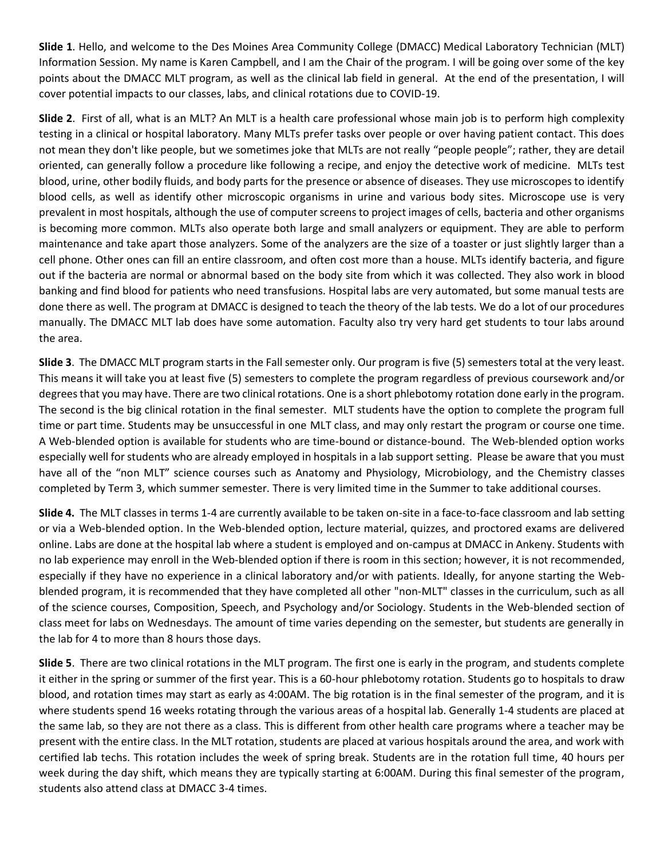**Slide 1**. Hello, and welcome to the Des Moines Area Community College (DMACC) Medical Laboratory Technician (MLT) Information Session. My name is Karen Campbell, and I am the Chair of the program. I will be going over some of the key points about the DMACC MLT program, as well as the clinical lab field in general. At the end of the presentation, I will cover potential impacts to our classes, labs, and clinical rotations due to COVID-19.

**Slide 2**. First of all, what is an MLT? An MLT is a health care professional whose main job is to perform high complexity testing in a clinical or hospital laboratory. Many MLTs prefer tasks over people or over having patient contact. This does not mean they don't like people, but we sometimes joke that MLTs are not really "people people"; rather, they are detail oriented, can generally follow a procedure like following a recipe, and enjoy the detective work of medicine. MLTs test blood, urine, other bodily fluids, and body parts for the presence or absence of diseases. They use microscopes to identify blood cells, as well as identify other microscopic organisms in urine and various body sites. Microscope use is very prevalent in most hospitals, although the use of computer screens to project images of cells, bacteria and other organisms is becoming more common. MLTs also operate both large and small analyzers or equipment. They are able to perform maintenance and take apart those analyzers. Some of the analyzers are the size of a toaster or just slightly larger than a cell phone. Other ones can fill an entire classroom, and often cost more than a house. MLTs identify bacteria, and figure out if the bacteria are normal or abnormal based on the body site from which it was collected. They also work in blood banking and find blood for patients who need transfusions. Hospital labs are very automated, but some manual tests are done there as well. The program at DMACC is designed to teach the theory of the lab tests. We do a lot of our procedures manually. The DMACC MLT lab does have some automation. Faculty also try very hard get students to tour labs around the area.

**Slide 3**. The DMACC MLT program starts in the Fall semester only. Our program is five (5) semesters total at the very least. This means it will take you at least five (5) semesters to complete the program regardless of previous coursework and/or degrees that you may have. There are two clinical rotations. One is a short phlebotomy rotation done early in the program. The second is the big clinical rotation in the final semester. MLT students have the option to complete the program full time or part time. Students may be unsuccessful in one MLT class, and may only restart the program or course one time. A Web-blended option is available for students who are time-bound or distance-bound. The Web-blended option works especially well for students who are already employed in hospitals in a lab support setting. Please be aware that you must have all of the "non MLT" science courses such as Anatomy and Physiology, Microbiology, and the Chemistry classes completed by Term 3, which summer semester. There is very limited time in the Summer to take additional courses.

**Slide 4.** The MLT classes in terms 1-4 are currently available to be taken on-site in a face-to-face classroom and lab setting or via a Web-blended option. In the Web-blended option, lecture material, quizzes, and proctored exams are delivered online. Labs are done at the hospital lab where a student is employed and on-campus at DMACC in Ankeny. Students with no lab experience may enroll in the Web-blended option if there is room in this section; however, it is not recommended, especially if they have no experience in a clinical laboratory and/or with patients. Ideally, for anyone starting the Webblended program, it is recommended that they have completed all other "non-MLT" classes in the curriculum, such as all of the science courses, Composition, Speech, and Psychology and/or Sociology. Students in the Web-blended section of class meet for labs on Wednesdays. The amount of time varies depending on the semester, but students are generally in the lab for 4 to more than 8 hours those days.

**Slide 5**. There are two clinical rotations in the MLT program. The first one is early in the program, and students complete it either in the spring or summer of the first year. This is a 60-hour phlebotomy rotation. Students go to hospitals to draw blood, and rotation times may start as early as 4:00AM. The big rotation is in the final semester of the program, and it is where students spend 16 weeks rotating through the various areas of a hospital lab. Generally 1-4 students are placed at the same lab, so they are not there as a class. This is different from other health care programs where a teacher may be present with the entire class. In the MLT rotation, students are placed at various hospitals around the area, and work with certified lab techs. This rotation includes the week of spring break. Students are in the rotation full time, 40 hours per week during the day shift, which means they are typically starting at 6:00AM. During this final semester of the program, students also attend class at DMACC 3-4 times.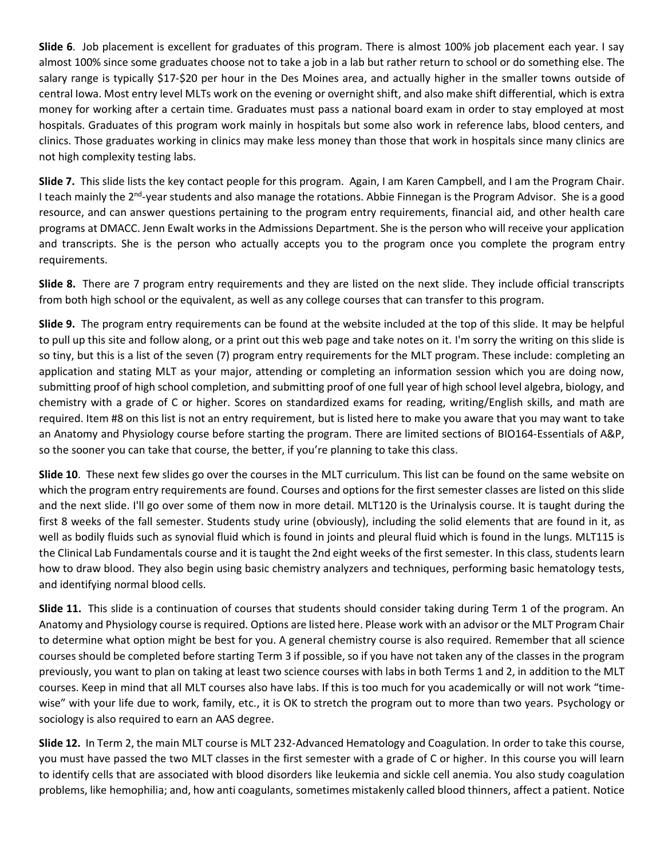**Slide 6**. Job placement is excellent for graduates of this program. There is almost 100% job placement each year. I say almost 100% since some graduates choose not to take a job in a lab but rather return to school or do something else. The salary range is typically \$17-\$20 per hour in the Des Moines area, and actually higher in the smaller towns outside of central Iowa. Most entry level MLTs work on the evening or overnight shift, and also make shift differential, which is extra money for working after a certain time. Graduates must pass a national board exam in order to stay employed at most hospitals. Graduates of this program work mainly in hospitals but some also work in reference labs, blood centers, and clinics. Those graduates working in clinics may make less money than those that work in hospitals since many clinics are not high complexity testing labs.

**Slide 7.** This slide lists the key contact people for this program. Again, I am Karen Campbell, and I am the Program Chair. I teach mainly the 2<sup>nd</sup>-year students and also manage the rotations. Abbie Finnegan is the Program Advisor. She is a good resource, and can answer questions pertaining to the program entry requirements, financial aid, and other health care programs at DMACC. Jenn Ewalt works in the Admissions Department. She is the person who will receive your application and transcripts. She is the person who actually accepts you to the program once you complete the program entry requirements.

**Slide 8.** There are 7 program entry requirements and they are listed on the next slide. They include official transcripts from both high school or the equivalent, as well as any college courses that can transfer to this program.

**Slide 9.** The program entry requirements can be found at the website included at the top of this slide. It may be helpful to pull up this site and follow along, or a print out this web page and take notes on it. I'm sorry the writing on this slide is so tiny, but this is a list of the seven (7) program entry requirements for the MLT program. These include: completing an application and stating MLT as your major, attending or completing an information session which you are doing now, submitting proof of high school completion, and submitting proof of one full year of high school level algebra, biology, and chemistry with a grade of C or higher. Scores on standardized exams for reading, writing/English skills, and math are required. Item #8 on this list is not an entry requirement, but is listed here to make you aware that you may want to take an Anatomy and Physiology course before starting the program. There are limited sections of BIO164-Essentials of A&P, so the sooner you can take that course, the better, if you're planning to take this class.

**Slide 10**. These next few slides go over the courses in the MLT curriculum. This list can be found on the same website on which the program entry requirements are found. Courses and options for the first semester classes are listed on this slide and the next slide. I'll go over some of them now in more detail. MLT120 is the Urinalysis course. It is taught during the first 8 weeks of the fall semester. Students study urine (obviously), including the solid elements that are found in it, as well as bodily fluids such as synovial fluid which is found in joints and pleural fluid which is found in the lungs. MLT115 is the Clinical Lab Fundamentals course and it is taught the 2nd eight weeks of the first semester. In this class, students learn how to draw blood. They also begin using basic chemistry analyzers and techniques, performing basic hematology tests, and identifying normal blood cells.

**Slide 11.** This slide is a continuation of courses that students should consider taking during Term 1 of the program. An Anatomy and Physiology course is required. Options are listed here. Please work with an advisor or the MLT Program Chair to determine what option might be best for you. A general chemistry course is also required. Remember that all science courses should be completed before starting Term 3 if possible, so if you have not taken any of the classes in the program previously, you want to plan on taking at least two science courses with labs in both Terms 1 and 2, in addition to the MLT courses. Keep in mind that all MLT courses also have labs. If this is too much for you academically or will not work "timewise" with your life due to work, family, etc., it is OK to stretch the program out to more than two years. Psychology or sociology is also required to earn an AAS degree.

**Slide 12.** In Term 2, the main MLT course is MLT 232-Advanced Hematology and Coagulation. In order to take this course, you must have passed the two MLT classes in the first semester with a grade of C or higher. In this course you will learn to identify cells that are associated with blood disorders like leukemia and sickle cell anemia. You also study coagulation problems, like hemophilia; and, how anti coagulants, sometimes mistakenly called blood thinners, affect a patient. Notice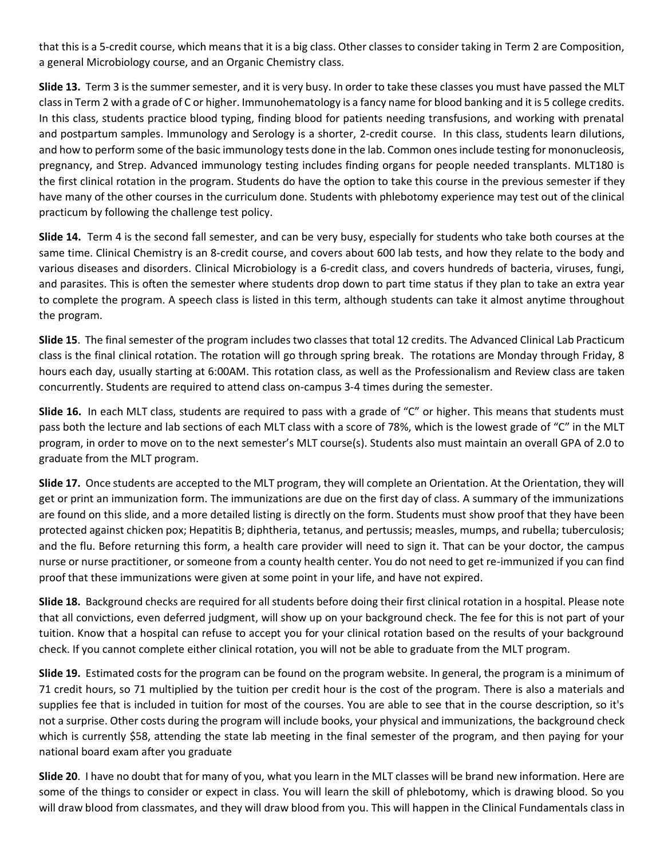that this is a 5-credit course, which means that it is a big class. Other classes to consider taking in Term 2 are Composition, a general Microbiology course, and an Organic Chemistry class.

**Slide 13.** Term 3 is the summer semester, and it is very busy. In order to take these classes you must have passed the MLT class in Term 2 with a grade of C or higher. Immunohematology is a fancy name for blood banking and it is 5 college credits. In this class, students practice blood typing, finding blood for patients needing transfusions, and working with prenatal and postpartum samples. Immunology and Serology is a shorter, 2-credit course. In this class, students learn dilutions, and how to perform some of the basic immunology tests done in the lab. Common ones include testing for mononucleosis, pregnancy, and Strep. Advanced immunology testing includes finding organs for people needed transplants. MLT180 is the first clinical rotation in the program. Students do have the option to take this course in the previous semester if they have many of the other courses in the curriculum done. Students with phlebotomy experience may test out of the clinical practicum by following the challenge test policy.

**Slide 14.** Term 4 is the second fall semester, and can be very busy, especially for students who take both courses at the same time. Clinical Chemistry is an 8-credit course, and covers about 600 lab tests, and how they relate to the body and various diseases and disorders. Clinical Microbiology is a 6-credit class, and covers hundreds of bacteria, viruses, fungi, and parasites. This is often the semester where students drop down to part time status if they plan to take an extra year to complete the program. A speech class is listed in this term, although students can take it almost anytime throughout the program.

**Slide 15**. The final semester of the program includes two classes that total 12 credits. The Advanced Clinical Lab Practicum class is the final clinical rotation. The rotation will go through spring break. The rotations are Monday through Friday, 8 hours each day, usually starting at 6:00AM. This rotation class, as well as the Professionalism and Review class are taken concurrently. Students are required to attend class on-campus 3-4 times during the semester.

**Slide 16.** In each MLT class, students are required to pass with a grade of "C" or higher. This means that students must pass both the lecture and lab sections of each MLT class with a score of 78%, which is the lowest grade of "C" in the MLT program, in order to move on to the next semester's MLT course(s). Students also must maintain an overall GPA of 2.0 to graduate from the MLT program.

**Slide 17.** Once students are accepted to the MLT program, they will complete an Orientation. At the Orientation, they will get or print an immunization form. The immunizations are due on the first day of class. A summary of the immunizations are found on this slide, and a more detailed listing is directly on the form. Students must show proof that they have been protected against chicken pox; Hepatitis B; diphtheria, tetanus, and pertussis; measles, mumps, and rubella; tuberculosis; and the flu. Before returning this form, a health care provider will need to sign it. That can be your doctor, the campus nurse or nurse practitioner, or someone from a county health center. You do not need to get re-immunized if you can find proof that these immunizations were given at some point in your life, and have not expired.

**Slide 18.** Background checks are required for all students before doing their first clinical rotation in a hospital. Please note that all convictions, even deferred judgment, will show up on your background check. The fee for this is not part of your tuition. Know that a hospital can refuse to accept you for your clinical rotation based on the results of your background check. If you cannot complete either clinical rotation, you will not be able to graduate from the MLT program.

**Slide 19.** Estimated costs for the program can be found on the program website. In general, the program is a minimum of 71 credit hours, so 71 multiplied by the tuition per credit hour is the cost of the program. There is also a materials and supplies fee that is included in tuition for most of the courses. You are able to see that in the course description, so it's not a surprise. Other costs during the program will include books, your physical and immunizations, the background check which is currently \$58, attending the state lab meeting in the final semester of the program, and then paying for your national board exam after you graduate

**Slide 20**. I have no doubt that for many of you, what you learn in the MLT classes will be brand new information. Here are some of the things to consider or expect in class. You will learn the skill of phlebotomy, which is drawing blood. So you will draw blood from classmates, and they will draw blood from you. This will happen in the Clinical Fundamentals class in